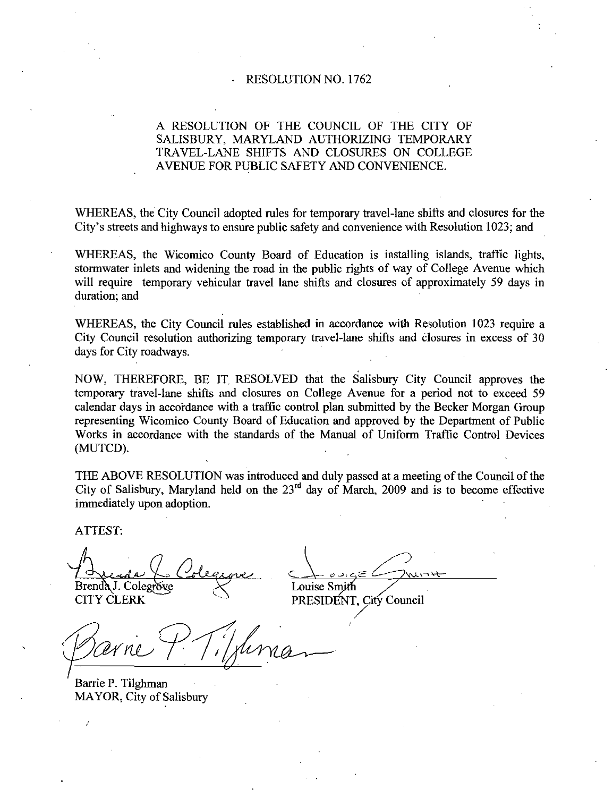### RESOLUTION NO. 1762

# A RESOLUTION OF THE COUNCIL OF THE CITY OF SALISBURY, MARYLAND AUTHORIZING TEMPORARY TRAVEL-LANE SHIFTS AND CLOSURES ON COLLEGE AVENUE FOR PUBLIC SAFETY AND CONVENIENCE

WHEREAS, the City Council adopted rules for temporary travel-lane shifts and closures for the City's streets and highways to ensure public safety and convenience with Resolution 1023; and

WHEREAS, the Wicomico County Board of Education is installing islands, traffic lights, stormwater inlets and widening the road in the public rights of way of College Avenue which will require temporary vehicular travel lane shifts and closures of approximately <sup>59</sup> days in duration; and

WHEREAS, the City Council rules established in accordance with Resolution 1023 require a City Council resolution authorizing temporary travel-lane shifts and closures in excess of 30 days for City roadways.

NOW, THEREFORE, BE IT RESOLVED that the Salisbury City Council approves the temporary travel lane shifts and closures on College Avenue for <sup>a</sup> period not to exceed <sup>59</sup> calendar days in accordance with <sup>a</sup> traffic control plan submitted by the Becker Morgan Group representing Wicomico County Board of Education and approved by the Department of Public Works in accordance with the standards of the Manual of Uniform Traffic Control Devices (MUTCD).

THE ABOVE RESOLUTION was introduced and duly passed at <sup>a</sup> meeting of the Council of the City of Salisbury, Maryland held on the  $23<sup>rd</sup>$  day of March, 2009 and is to become effective immediately upon adoption

ATTEST

Brenda J. Colegrove Louise

**CITY CLERK** 

PRESIDENT, City Council

Barrie P. Tilghman MAYOR, City of Salisbury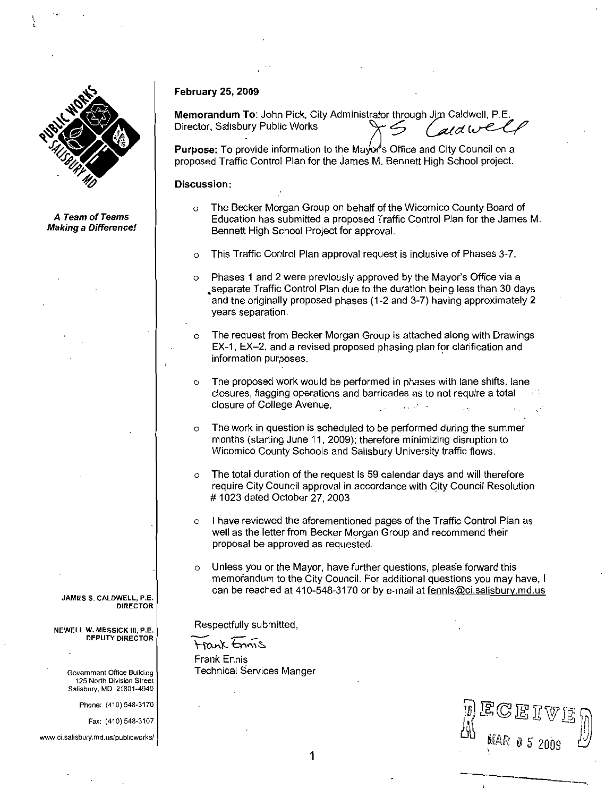

<sup>A</sup> Team of Teams **Making a Difference!** 

#### **February 25, 2009**

repruary 25, 2009<br>Memorandum To: John Pick, City Administrator through Jim Caldwell, P.E. February 25, 2009<br>
Memorandum To: John Pick, City Administrator through Jim Calc<br>
Director, Salisbury Public Works<br>
Purpose: To provide information to the Mayor's Office and City C

Purpose: To provide information to the Mavor's Office and City Council on a proposed Traffic Control Plan for the James M. Bennett High School project.

## Discussion

- <sup>o</sup> The Becker Morgan Group on behalf of the Wicomico County Board of Education has submitted a proposed Traffic Control Plan for the James M Bennett High School Project for approval
- o This Traffic Control Plan approval request is inclusive of Phases 3-7.<br>
o Phases 1 and 2 were previously approved by the Mayor's Office via a
- Bennett High School Project for approval.<br>
 This Traffic Control Plan approval request is inclusive of Phases 3-7.<br>
 Phases 1 and 2 were previously approved by the Mayor's Office via a<br>
separate Traffic Control Plan due years separation
- o The request from Becker Morgan Group is attached along with Drawings years separation.<br>The request from Becker Morgan Group is attached along with Drawin<br>EX-1, EX–2, and a revised proposed phasing plan for clarification and<br>information purposes. information purposes
- $\circ$  The proposed work would be performed in phases with lane shifts, lane closures, flagging operations and barricades as to not require a total closure of College Avenue.
- The work in question is scheduled to be performed during the summer months (starting June 11, 2009); therefore minimizing disruption to Wicomico County Schools and Salisbury University traffic flows.
- o The total duration of the request is 59 calendar days and will therefore require City Council approval in accordance with City Council Resolution # 1023 dated October 27, 2003
- <sup>o</sup> <sup>I</sup> have reviewed the aforementioned pages of the Traffic Control Plan as well as the letter from Becker Morgan Group and recommend their proposal be approved as requested
- $\circ$  Unless you or the Mayor, have further questions, please forward this memorandum to the City Council. For additional questions you may have, I cologies, flagging operations and barricades as to not require a total<br>closures, flagging operations and barricades as to not require a total<br>closure of College Avenue.<br>The work in question is scheduled to be performed dur

}<br>Mar<br>'

 $\mathbb{G}\mathbb{E}$  I V  $\mathbb{E}$ 

Respectfully submitted

trank tonnis Frank Ennis Technical Services Manger



DEPUTY DIRECTOR

DIRECTOR

Government Office Building 125 North Division Street Salisbury, MD 21801-4940 Government<br>125 North i<br>Salisbury, MI<br>Phone: (4<br>Fax: (4<br>www.ci.salisbury.md.u

Phone: (410) 548-3170

Fax: (410) 548-3107

www.ci.salisbury.md.us/publicworks/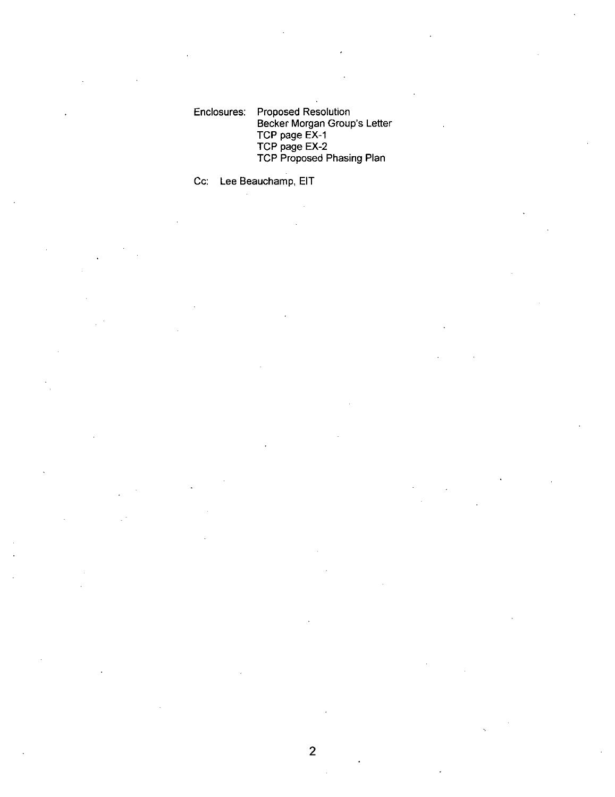Enclosures: Proposed Resolution Proposed Resolution<br>Becker Morgan Group's Letter<br>TCP page EX-1<br>TCP page EX-2 Toposed Trouble<br>Becker Morgan Group's Lett<br>TCP page EX-2<br>TCP Proposed Phasing Plan

Cc: Lee Beauchamp, EIT

2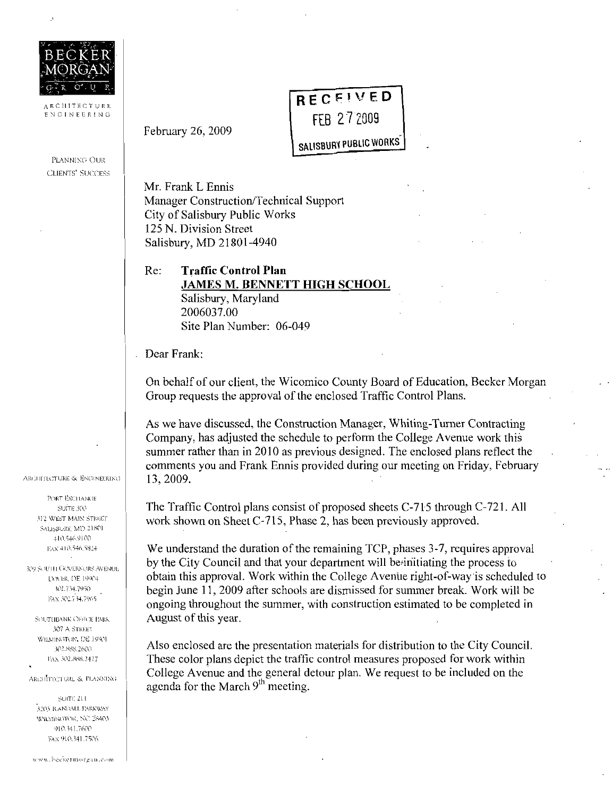

ARCHITECTURE ENGINEERING

PLANNING OUR **CLIENTS' SUCCESS**  February 26, 2009

Mr. Frank L Ennis Manager Construction/Technical Support City of Salisbury Public Works 125 N. Division Street Salisbury, MD 21801-4940

Re: **Traffic Control Plan JAMES M. BENNETT HIGH SCHOOL** Salisbury, Maryland 2006037.00 Site Plan Number: 06-049

Dear Frank:

On behalf of our client, the Wicomico County Board of Education, Becker Morgan Group requests the approval of the enclosed Traffic Control Plans.

RECEIVED

FEB 27 2009

**SALISBURY PUBLIC WORKS** 

As we have discussed, the Construction Manager, Whiting-Turner Contracting Company, has adjusted the schedule to perform the College Avenue work this summer rather than in 2010 as previous designed. The enclosed plans reflect the comments you and Frank Ennis provided during our meeting on Friday, February 13, 2009.

The Traffic Control plans consist of proposed sheets C-715 through C-721. All work shown on Sheet C-715, Phase 2, has been previously approved.

We understand the duration of the remaining TCP, phases 3-7, requires approval by the City Council and that your department will be initiating the process to obtain this approval. Work within the College Avenue right-of-way is scheduled to begin June 11, 2009 after schools are dismissed for summer break. Work will be ongoing throughout the summer, with construction estimated to be completed in August of this year.

Also enclosed are the presentation materials for distribution to the City Council. These color plans depict the traffic control measures proposed for work within College Avenue and the general detour plan. We request to be included on the agenda for the March 9<sup>th</sup> meeting.

ARCHITECTURE & ENGINEERING

**PORT EXCHANGE** SUITE 300 312 WEST MAIN STREET SALISBURY, MD 21801 410.546.9100 EAX 410,546,5824

KY SOUTH GOVERNORS AVENUE DOCR, DE 19904 302.734.7950 FAX 302.734.7965

SOUTHBANK OFFICE PARK 307 A STREET WILMINGTON, DE 19801 302,888,2600 FAX 302,888.2427

ARCHITECTURE & PLANNING

SUITE 211 3205 RANDALL PARKWAY WILSINGTON, NC 28403 910.341.7600 FAX 910.341.7506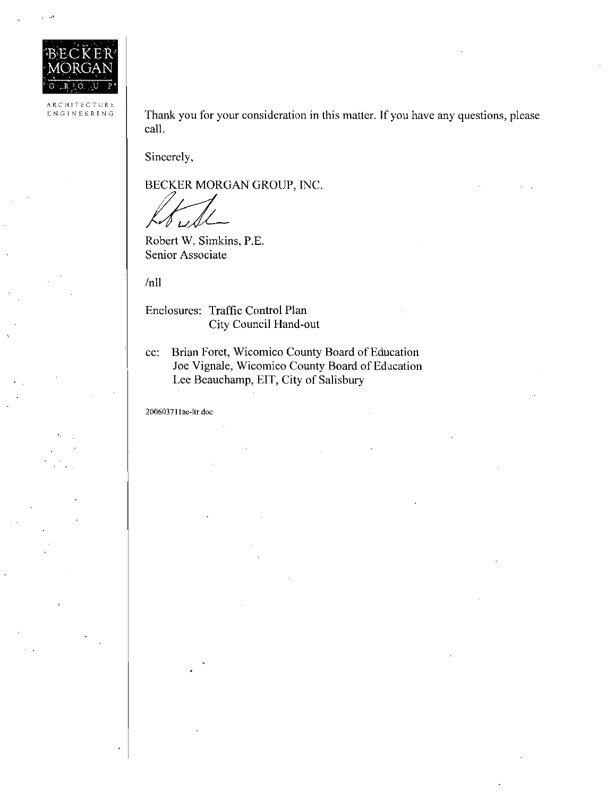

<sup>A</sup> RCHITECTUNE ENGINEERING

Thank you for your consideration in this matter. If you have any questions, please call

Sincerely,

BECKER MORGAN GROUP, INC.

ank you for your<br>
1.<br>
ncerely,<br>
CKER MORGA<br>
bbert W. Simkins,<br>
nior Associate<br>
1<br>
closures: Traffic

Robert W. Simkins, P.E. Senior Associate

/nll

Enclosures: Traffic Control Plan City Council Hand out

cc: Brian Foret, Wicomico County Board of Education Joe Vignale, Wicomico County Board of Education Lee Beauchamp, EIT, City of Salisbury cc: Brian For<br>Joe Vigna<br>Lee Beau<br>200603711ae-ltr.doc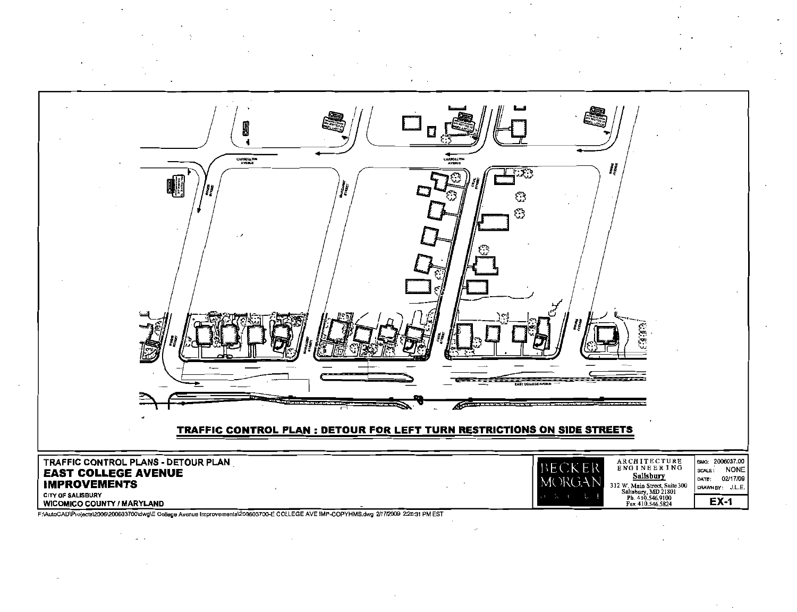

F:\AutoCAD\Projects\2006\200603700\dwg\E College Avenue Improvements\200603700-E COLLEGE AVE IMP-COPYHMS.dwg 2/17/2009 2:26:31 PM EST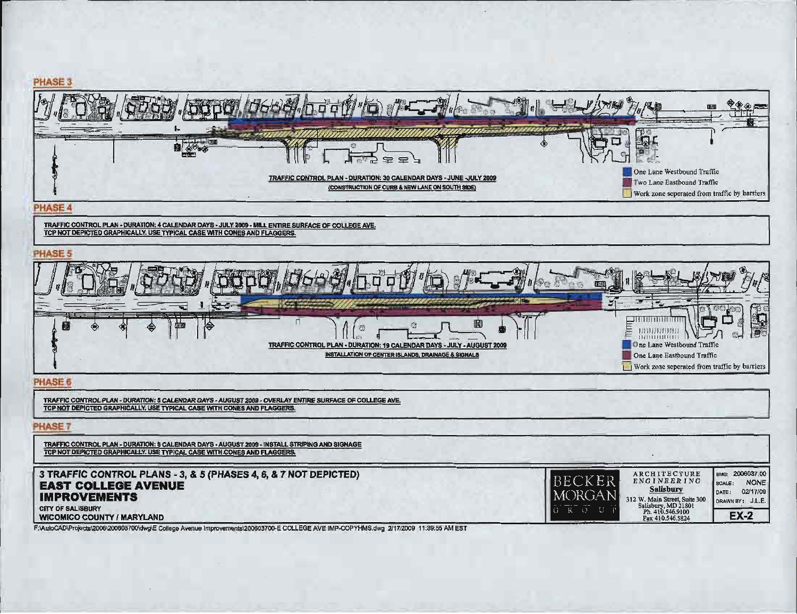

F:\AutoCAD\Projects\2006\200603700\dwg\E College Avenue Improvements\200603700-E COLLEGE AVE IMP-COPYHMS.dwg 2/17/2009 11:39:55 AM EST